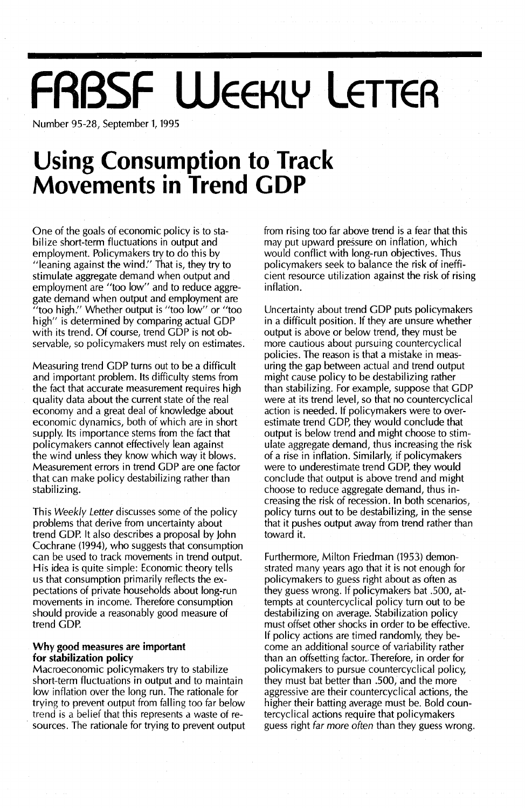# **FRBSF WEEKLY LETTER**

Number 95-28, September 1, 1995

# **Using Consumption to Track Movements in Trend GDP**

One of the goals of economic policy is to stabilize short-term fluctuations in output and employment. Policymakers try to do this by "leaning against the wind:' That is, they try to stimulate aggregate demand when output and employment are "too low" and to reduce aggregate demand when output and employment are "too high." Whether output is "too low" or "too high" is determined by comparing actual GDP with its trend. Of course, trend GDP is not observable, so policymakers must rely on estimates.

Measuring trend GDP turns out to be a difficult and important problem. Its difficulty stems from the fact that accurate measurement requires high quality data about the current state of the real economy and a great deal of knowledge about economic dynamics, both of which are in short supply. Its importance stems from the fact that policymakers cannot effectively lean against the wind unless they know which way it blows. Measurement errors in trend GDP are one factor that can make policy destabilizing rather than stabilizing.

This Weekly Letter discusses some of the policy problems that derive from uncertainty about trend GDP. It also describes a proposal by John Cochrane (1994), who suggests that consumption can be used to track movements in trend output. His idea is quite simple: Economic theory tells us that consumption primarily reflects the expectations of private households about long-run movements in income. Therefore consumption should provide a reasonably good measure of trend GDP.

## Why good measures are important for stabilization policy

Macroeconomic policymakers try to stabilize short-term fluctuations in output and to maintain low inflation over the long run. The rationale for trying to prevent output from falling too far below trend is a belief that this represents a waste of resources. The rationale for trying to prevent output from rising too far above trend is a fear that this may put upward pressure on inflation, which would conflict with long-run objectives. Thus policymakers seek to balance the risk of inefficient resource utilization against the risk of rising inflation.

Uncertainty about trend GDP puts policymakers in a difficult position. If they are unsure whether output is above or below trend, they must be more cautious about pursuing countercyclical policies. The reason is that a mistake in measuring the gap between actual and trend output might cause policy to be destabilizing rather than stabilizing. For example, suppose that GDP were at its trend level, so that no countercyclical action is needed. If policymakers were to overestimate trend GDp, they would conclude that output is below trend and might choose to stimulate aggregate demand, thus increasing the risk of a rise in inflation. Similarly, if policymakers were to underestimate trend GDp, they would conclude that output is above trend and might choose to reduce aggregate demand, thus increasing the risk of recession. In both scenarios, policy turns out to be destabilizing, in the sense that it pushes output away from trend rather than toward it.

Furthermore, Milton Friedman (1953) demonstrated many years ago that it is not enough for policymakers to guess right about as often as they guess wrong. If policymakers bat .500, attempts at countercyclical policy turn out to be destabilizing on average. Stabilization policy must offset other shocks in order to be effective. If policy actions are timed randomly, they become an additional source of variability rather than an offsetting factor." Therefore, in order for policymakers to pursue countercyclical policy, they must bat better than .500, and the more aggressive are their countercyclical actions, the higher their batting average must be. Bold countercyclical actions require that policymakers guess right far more often than they guess wrong.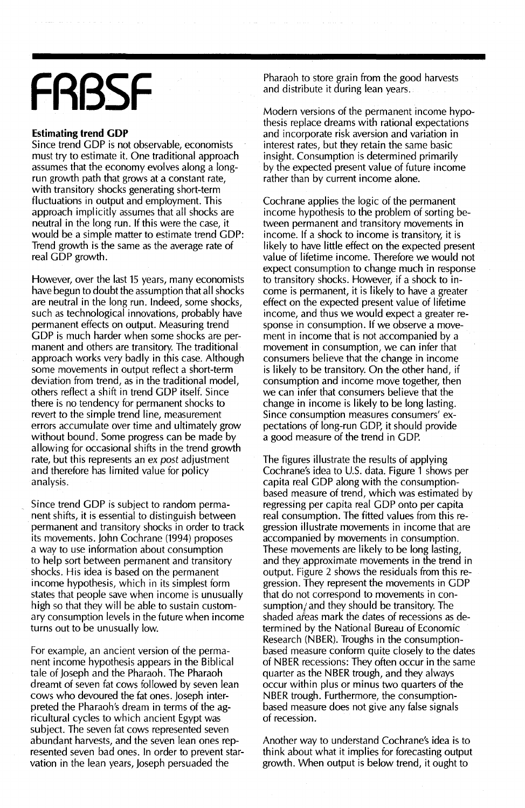# **FRBSF**

## **Estimating trend GDP**

Since trend GOP is not observable, economists must try to estimate it. One traditional approach assumes that the economy evolves along a longrun growth path that grows at a constant rate, with transitory shocks generating short-term fluctuations in output and employment. This approach implicitly assumes that all shocks are neutral in the long run. If this were the case, it would be a simple matter to estimate trend GOP: Trend growth is the same as the average rate of real GDP growth.

However, over the last 15 years, many economists have begun to doubt the assumption that all shocks are neutral in the long run. Indeed, some shocks, such as technological innovations, probably have permanent effects on output. Measuring trend GOP is much harder when some shocks are permanent and others are transitory. The traditional approach works very badly in this case. Although some movements in output reflect a short-term deviation from trend, as in the traditional model, others reflect a shift in trend GOP itself. Since there is no tendency for permanent shocks to revert to the simple trend line, measurement errors accumulate over time and ultimately grow without bound. Some progress can be made by allowing for occasional shifts in the trend growth rate, but this represents an ex *post* adjustment and therefore has limited value for policy analysis.

Since trend GOP is subject to random permanent shifts, it is essential to distinguish between permanent and transitory shocks in order to track its movements. john Cochrane (1994) proposes a way to use information about consumption to help sort between permanent and transitory shocks. His idea is based on the permanent income hypothesis, which in its simplest form states that people save when income is unusually high so that they will be able to sustain customary consumption levels in the future when income turns out to be unusually low.

For example, an ancient version of the permanent income hypothesis appears in the Biblical tale of joseph and the Pharaoh. The Pharaoh dreamt of seven fat cows followed by seven lean cows who devoured the fat ones. joseph interpreted the Pharaoh's dream in terms of the agricultural cycles to which ancient Egypt was subject. The seven fat cows represented seven abundant harvests, and the seven lean ones represented seven bad ones. In order to prevent starvation in the lean years, Joseph persuaded the

Pharaoh to store grain from the good harvests and distribute it during lean years.

Modern versions of the permanent income hypothesis replace dreams with rational expectations and incorporate risk aversion and variation in interest rates, but they retain the same basic insight. Consumption is determined primarily by the expected present value of future income rather than by current income alone.

Cochrane applies the logic of the permanent income hypothesis to the problem of sorting between permanent and transitory movements in income. If a shock to income is transitory, it is likely to have little effect on the expected present value of lifetime income. Therefore we would not expect consumption to change much in response to transitory shocks. However, if a shock to income is permanent, it is likely to have a greater effect on the expected present value of lifetime income, and thus we would expect a greater response in consumption. If we observe a movement in income that is not accompanied by a movement in consumption, we can infer that consumers believe that the change in income is likely to be transitory. On the other hand, if consumption and income move together, then we can infer that consumers believe that the change in income is likely to be long lasting. Since consumption measures consumers' expectations of long-run GDP, it should provide a good measure of the trend in GOP.

The figures illustrate the results of applying Cochrane's idea to U.S. data. Figure 1 shows per capita real GOP along with the consumptionbased measure of trend, which was estimated by regressing per capita real GOP onto per capita real consumption. The fitted values from this regression illustrate movements in income that are accompanied by movements in consumption. These movements are likely to be long lasting, and they approximate movements in the trend in output. Figure 2 shows the residuals from this regression. They represent the movements in GOP that do not correspond to movements in consumption/ and they should be transitory. The shaded afeas mark the dates of recessions as determined by the National Bureau of Economic Research (NBER). Troughs in the consumptionbased measure conform quite closely to the dates of NBER recessions: They often occur in the same quarter as the NBER trough, and they always occur within plus or minus two quarters of the NBER trough. Furthermore, the consumptionbased measure does not give any false signals of recession.

Another way to understand Cochrane's idea is to think about what it implies for forecasting output growth. When output is below trend, it ought to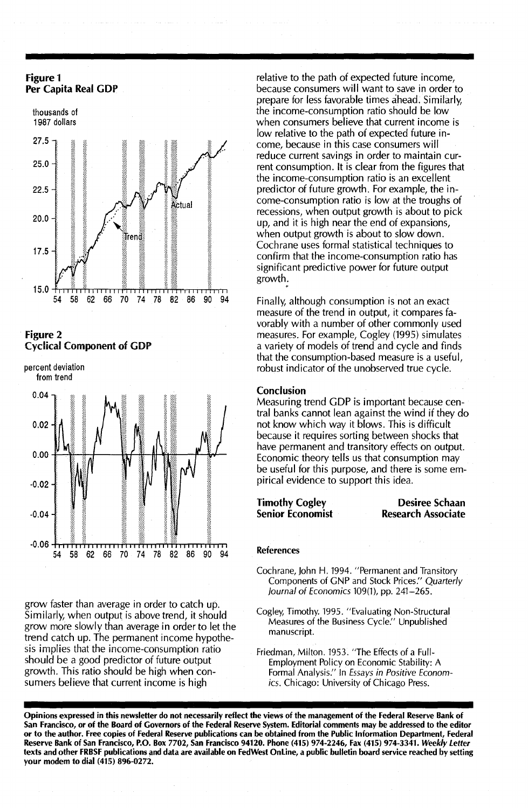## Figure 1 Per Capita Real GDP



# Figure 2 Cyclical Component of GDP

percent deviation from trend



grow faster than average in order to catch up. Similarly, when output is above trend, it should grow more slowly than average in order to let the trend catch up. The permanent income hypothesis implies that the income-consumption ratio should be a good predictor of future output growth. This ratio should be high when consumers believe that current income is high

relative to the path of expected future income, because consumers will want to save in order to prepare for less favorable times ahead. Similarly, the income-consumption ratio should be low when consumers believe that current income is low relative to the path of expected future income, because in this case consumers will reduce current savings in order to maintain current consumption. It is clear from the figures that the income-consumption ratio is an excellent predictor of future growth. For example, the income-consumption ratio is low at the troughs of recessions, when output growth is about to pick up, and it is high near the end of expansions, when output growth is about to slow down. Cochrane uses formal statistical techniques to confirm that the income-consumption ratio has significant predictive power for future output growth;

Finally, although consumption is not an exact measure of the trend in output, it compares favorably with a number of other commonly used measures. For example, Cogley (1995) simulates a variety of models of trend and cycie and finds that the consumption-based measure is a useful, robust indicator of the unobserved true cycle.

#### Conclusion

Measuring trend GDP is important because central banks cannot lean against the wind if they do not know which way it blows. This is difficult because it requires sorting between shocks that have permanent and transitory effects on output. Economic theory tells us that consumption may be useful for this purpose, and there is some empirical evidence to support this idea.

Timothy Cogley Senior Economist

Desiree Schaan Research Associate

#### References

- Cochrane, John H. 1994. "Permanent and Transitory Components of GNP and Stock Prices." *Quarterly Journal* of *Economics* 109(1), pp. 241-265.
- Cogley, Timothy. 1995. "Evaluating Non-Structural Measures of the Business Cycle." Unpublished manuscript.
- Friedman, Milton. 1953. "The Effects of a Full-Employment Policy on Economic Stability: A Formal Analysis." In *Essays in Positive Economics.* Chicago: University of Chicago Press.

Opinions expressed in this newsletter do not necessarily reflect the views of the management of the Federal Reserve Bank of San Francisco, or of the Board of Governors of the Federal Reserve System. Editorial comments may be addressed to the editor or to the author. Free copies of federal Reserve publications can be obtained from the Public Information Department, Federal Reserve Bank of San Francisco, P.O. Box 7702, San Francisco 94120. Phone (415) 974-2246, Fax (415) 974-3341. *Weekly Letter* texts and other FRBSF publications and data are available on FedWest OnLine, a public bulletin board service reached by setting your modem to dial (415) 896-0272.